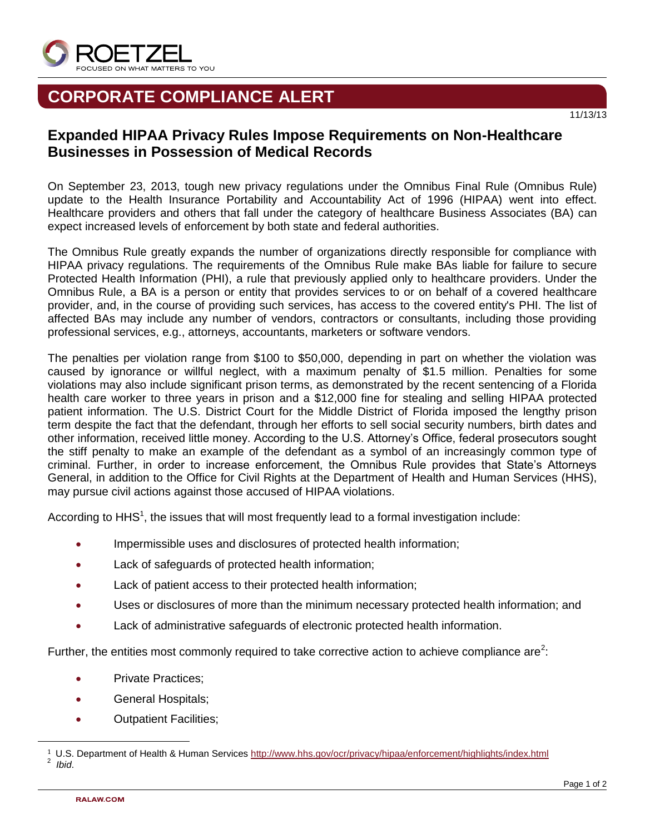

## **CORPORATE COMPLIANCE ALERT**

## **Expanded HIPAA Privacy Rules Impose Requirements on Non-Healthcare Businesses in Possession of Medical Records**

On September 23, 2013, tough new privacy regulations under the Omnibus Final Rule (Omnibus Rule) update to the Health Insurance Portability and Accountability Act of 1996 (HIPAA) went into effect. Healthcare providers and others that fall under the category of healthcare Business Associates (BA) can expect increased levels of enforcement by both state and federal authorities.

The Omnibus Rule greatly expands the number of organizations directly responsible for compliance with HIPAA privacy regulations. The requirements of the Omnibus Rule make BAs liable for failure to secure Protected Health Information (PHI), a rule that previously applied only to healthcare providers. Under the Omnibus Rule, a BA is a person or entity that provides services to or on behalf of a covered healthcare provider, and, in the course of providing such services, has access to the covered entity's PHI. The list of affected BAs may include any number of vendors, contractors or consultants, including those providing professional services, e.g., attorneys, accountants, marketers or software vendors.

The penalties per violation range from \$100 to \$50,000, depending in part on whether the violation was caused by ignorance or willful neglect, with a maximum penalty of \$1.5 million. Penalties for some violations may also include significant prison terms, as demonstrated by the recent sentencing of a Florida health care worker to three years in prison and a \$12,000 fine for stealing and selling HIPAA protected patient information. The U.S. District Court for the Middle District of Florida imposed the lengthy prison term despite the fact that the defendant, through her efforts to sell social security numbers, birth dates and other information, received little money. According to the U.S. Attorney's Office, federal prosecutors sought the stiff penalty to make an example of the defendant as a symbol of an increasingly common type of criminal. Further, in order to increase enforcement, the Omnibus Rule provides that State's Attorneys General, in addition to the Office for Civil Rights at the Department of Health and Human Services (HHS), may pursue civil actions against those accused of HIPAA violations.

According to HHS<sup>1</sup>, the issues that will most frequently lead to a formal investigation include:

- Impermissible uses and disclosures of protected health information;
- Lack of safeguards of protected health information;
- **•** Lack of patient access to their protected health information;
- Uses or disclosures of more than the minimum necessary protected health information; and
- Lack of administrative safeguards of electronic protected health information.

Further, the entities most commonly required to take corrective action to achieve compliance are<sup>2</sup>:

- Private Practices;
- **General Hospitals;**
- Outpatient Facilities;

l

11/13/13

<sup>1</sup> U.S. Department of Health & Human Services<http://www.hhs.gov/ocr/privacy/hipaa/enforcement/highlights/index.html> 2 *Ibid*.